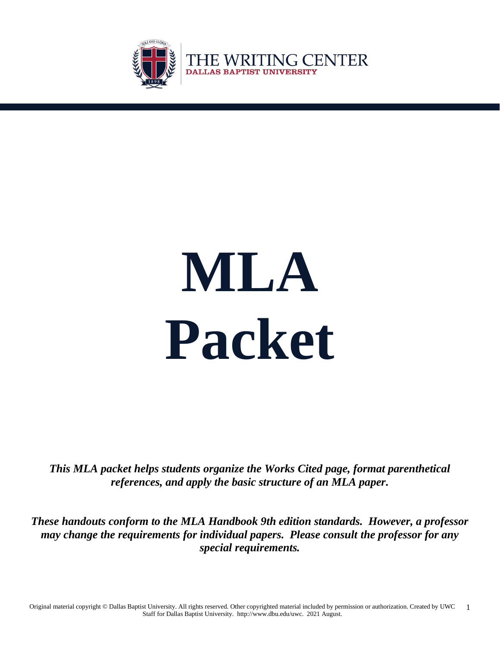

i

# **MLA Packet**

THE WRITING CENTER

**DALLAS BAPTIST UNIVERSITY** 

*This MLA packet helps students organize the Works Cited page, format parenthetical references, and apply the basic structure of an MLA paper.*

*These handouts conform to the MLA Handbook 9th edition standards. However, a professor may change the requirements for individual papers. Please consult the professor for any special requirements.*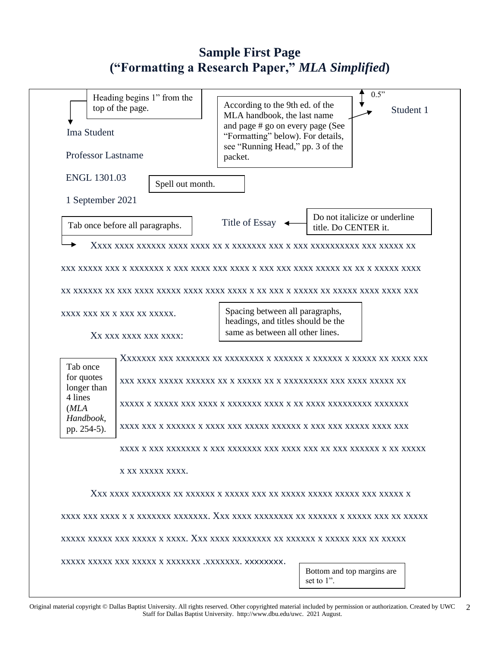# **Sample First Page ("Formatting a Research Paper,"** *MLA Simplified***)**

| Ima Student                                                                           | Heading begins 1" from the<br>top of the page. | According to the 9th ed. of the<br>MLA handbook, the last name<br>and page # go on every page (See<br>"Formatting" below). For details, | 0.5"<br>Student 1                                     |  |
|---------------------------------------------------------------------------------------|------------------------------------------------|-----------------------------------------------------------------------------------------------------------------------------------------|-------------------------------------------------------|--|
| <b>Professor Lastname</b>                                                             |                                                | see "Running Head," pp. 3 of the<br>packet.                                                                                             |                                                       |  |
| <b>ENGL 1301.03</b>                                                                   | Spell out month.                               |                                                                                                                                         |                                                       |  |
| 1 September 2021                                                                      |                                                |                                                                                                                                         |                                                       |  |
|                                                                                       | Tab once before all paragraphs.                |                                                                                                                                         | Do not italicize or underline<br>title. Do CENTER it. |  |
|                                                                                       |                                                |                                                                                                                                         |                                                       |  |
|                                                                                       |                                                |                                                                                                                                         |                                                       |  |
|                                                                                       | XXXX XXX XX X XXX XX XXXXX.                    | Spacing between all paragraphs,<br>headings, and titles should be the<br>same as between all other lines.                               |                                                       |  |
|                                                                                       | XX XXX XXXX XXX XXXX:                          |                                                                                                                                         |                                                       |  |
| Tab once<br>for quotes<br>longer than<br>4 lines<br>(MLA)<br>Handbook,<br>pp. 254-5). |                                                |                                                                                                                                         |                                                       |  |
|                                                                                       |                                                |                                                                                                                                         |                                                       |  |
|                                                                                       | X XX XXXXX XXXX.                               |                                                                                                                                         |                                                       |  |
|                                                                                       |                                                |                                                                                                                                         |                                                       |  |
|                                                                                       |                                                |                                                                                                                                         |                                                       |  |
|                                                                                       |                                                |                                                                                                                                         |                                                       |  |
|                                                                                       |                                                |                                                                                                                                         | Bottom and top margins are<br>set to 1".              |  |
|                                                                                       |                                                |                                                                                                                                         |                                                       |  |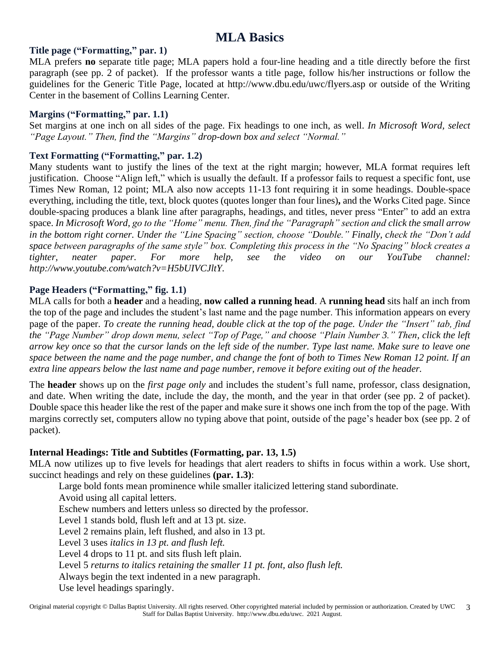# **MLA Basics**

#### **Title page ("Formatting," par. 1)**

MLA prefers **no** separate title page; MLA papers hold a four-line heading and a title directly before the first paragraph (see pp. 2 of packet). If the professor wants a title page, follow his/her instructions or follow the guidelines for the Generic Title Page, located at http://www.dbu.edu/uwc/flyers.asp or outside of the Writing Center in the basement of Collins Learning Center.

#### **Margins ("Formatting," par. 1.1)**

Set margins at one inch on all sides of the page. Fix headings to one inch, as well. *In Microsoft Word, select "Page Layout." Then, find the "Margins" drop-down box and select "Normal."*

#### **Text Formatting ("Formatting," par. 1.2)**

Many students want to justify the lines of the text at the right margin; however, MLA format requires left justification. Choose "Align left," which is usually the default. If a professor fails to request a specific font, use Times New Roman, 12 point; MLA also now accepts 11-13 font requiring it in some headings. Double-space everything, including the title, text, block quotes (quotes longer than four lines)**,** and the Works Cited page. Since double-spacing produces a blank line after paragraphs, headings, and titles, never press "Enter" to add an extra space. *In Microsoft Word, go to the "Home" menu. Then, find the "Paragraph" section and click the small arrow in the bottom right corner. Under the "Line Spacing" section, choose "Double." Finally, check the "Don't add space between paragraphs of the same style" box. Completing this process in the "No Spacing" block creates a tighter, neater paper. For more help, see the video on our YouTube channel: http://www.youtube.com/watch?v=H5bUIVCJltY.*

#### **Page Headers ("Formatting," fig. 1.1)**

MLA calls for both a **header** and a heading, **now called a running head**. A **running head** sits half an inch from the top of the page and includes the student's last name and the page number. This information appears on every page of the paper. *To create the running head, double click at the top of the page. Under the "Insert" tab, find the "Page Number" drop down menu, select "Top of Page," and choose "Plain Number 3." Then, click the left arrow key once so that the cursor lands on the left side of the number. Type last name. Make sure to leave one space between the name and the page number, and change the font of both to Times New Roman 12 point. If an extra line appears below the last name and page number, remove it before exiting out of the header.* 

The **header** shows up on the *first page only* and includes the student's full name, professor, class designation, and date. When writing the date, include the day, the month, and the year in that order (see pp. 2 of packet). Double space this header like the rest of the paper and make sure it shows one inch from the top of the page. With margins correctly set, computers allow no typing above that point, outside of the page's header box (see pp. 2 of packet).

#### **Internal Headings: Title and Subtitles (Formatting, par. 13, 1.5)**

MLA now utilizes up to five levels for headings that alert readers to shifts in focus within a work. Use short, succinct headings and rely on these guidelines **(par. 1.3)**:

Large bold fonts mean prominence while smaller italicized lettering stand subordinate. Avoid using all capital letters. Eschew numbers and letters unless so directed by the professor. Level 1 stands bold, flush left and at 13 pt. size. Level 2 remains plain, left flushed, and also in 13 pt. Level 3 uses *italics in 13 pt. and flush left.* Level 4 drops to 11 pt. and sits flush left plain. Level 5 *returns to italics retaining the smaller 11 pt. font, also flush left.* Always begin the text indented in a new paragraph. Use level headings sparingly.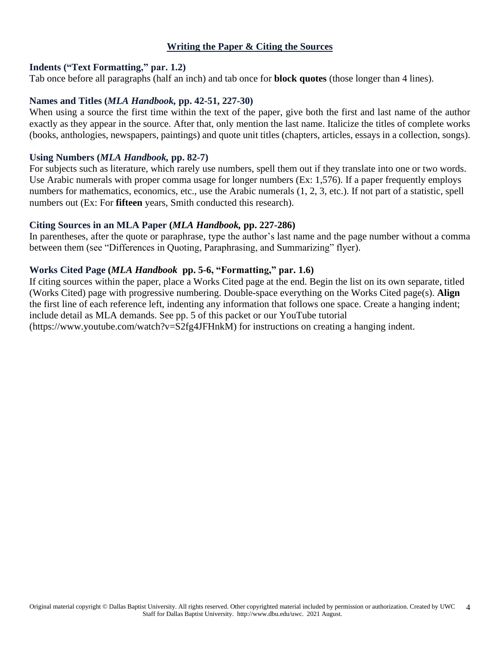#### **Writing the Paper & Citing the Sources**

#### **Indents ("Text Formatting," par. 1.2)**

Tab once before all paragraphs (half an inch) and tab once for **block quotes** (those longer than 4 lines).

#### **Names and Titles (***MLA Handbook,* **pp. 42-51, 227-30)**

When using a source the first time within the text of the paper, give both the first and last name of the author exactly as they appear in the source. After that, only mention the last name. Italicize the titles of complete works (books, anthologies, newspapers, paintings) and quote unit titles (chapters, articles, essays in a collection, songs).

#### **Using Numbers (***MLA Handbook,* **pp. 82-7)**

For subjects such as literature, which rarely use numbers, spell them out if they translate into one or two words. Use Arabic numerals with proper comma usage for longer numbers (Ex: 1,576). If a paper frequently employs numbers for mathematics, economics, etc., use the Arabic numerals (1, 2, 3, etc.). If not part of a statistic, spell numbers out (Ex: For **fifteen** years, Smith conducted this research).

#### **Citing Sources in an MLA Paper (***MLA Handbook,* **pp. 227-286)**

In parentheses, after the quote or paraphrase, type the author's last name and the page number without a comma between them (see "Differences in Quoting, Paraphrasing, and Summarizing" flyer).

# **Works Cited Page (***MLA Handbook* **pp. 5-6, "Formatting," par. 1.6)**

If citing sources within the paper, place a Works Cited page at the end. Begin the list on its own separate, titled (Works Cited) page with progressive numbering. Double-space everything on the Works Cited page(s). **Align**  the first line of each reference left, indenting any information that follows one space. Create a hanging indent; include detail as MLA demands. See pp. 5 of this packet or our YouTube tutorial (https://www.youtube.com/watch?v=S2fg4JFHnkM) for instructions on creating a hanging indent.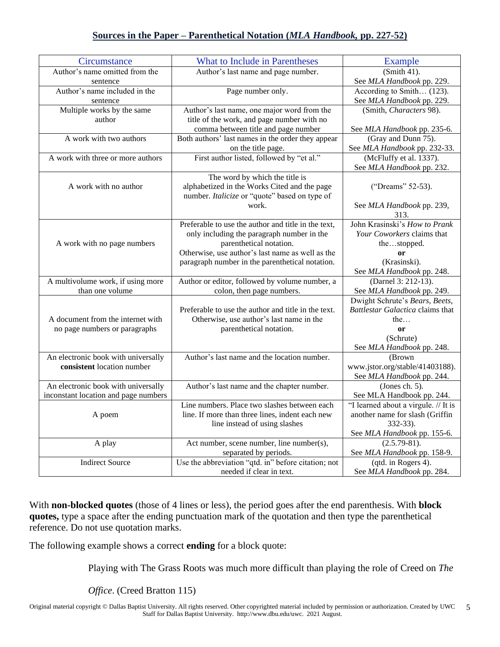# **Sources in the Paper – Parenthetical Notation (***MLA Handbook,* **pp. 227-52)**

| Circumstance                         | What to Include in Parentheses                                        | Example                               |  |
|--------------------------------------|-----------------------------------------------------------------------|---------------------------------------|--|
| Author's name omitted from the       | Author's last name and page number.                                   | $(Smith 41)$ .                        |  |
| sentence                             |                                                                       | See MLA Handbook pp. 229.             |  |
| Author's name included in the        | Page number only.                                                     | According to Smith (123).             |  |
| sentence                             |                                                                       | See MLA Handbook pp. 229.             |  |
| Multiple works by the same           | Author's last name, one major word from the                           | (Smith, Characters 98).               |  |
| author                               | title of the work, and page number with no                            |                                       |  |
|                                      | comma between title and page number                                   | See MLA Handbook pp. 235-6.           |  |
| A work with two authors              | Both authors' last names in the order they appear                     | (Gray and Dunn 75).                   |  |
|                                      | on the title page.                                                    | See MLA Handbook pp. 232-33.          |  |
| A work with three or more authors    | First author listed, followed by "et al."                             | (McFluffy et al. 1337).               |  |
|                                      |                                                                       | See MLA Handbook pp. 232.             |  |
|                                      | The word by which the title is                                        |                                       |  |
| A work with no author                | alphabetized in the Works Cited and the page                          | ("Dreams" 52-53).                     |  |
|                                      | number. Italicize or "quote" based on type of                         |                                       |  |
|                                      | work.                                                                 | See MLA Handbook pp. 239,             |  |
|                                      | Preferable to use the author and title in the text,                   | 313.<br>John Krasinski's How to Prank |  |
|                                      |                                                                       |                                       |  |
|                                      | only including the paragraph number in the<br>parenthetical notation. | Your Coworkers claims that            |  |
| A work with no page numbers          | Otherwise, use author's last name as well as the                      | thestopped.                           |  |
|                                      | paragraph number in the parenthetical notation.                       | or<br>(Krasinski).                    |  |
|                                      |                                                                       | See MLA Handbook pp. 248.             |  |
| A multivolume work, if using more    | Author or editor, followed by volume number, a                        | (Darnel 3: 212-13).                   |  |
| than one volume                      | colon, then page numbers.                                             | See MLA Handbook pp. 249.             |  |
|                                      |                                                                       | Dwight Schrute's Bears, Beets,        |  |
|                                      | Preferable to use the author and title in the text.                   | Battlestar Galactica claims that      |  |
| A document from the internet with    | Otherwise, use author's last name in the                              | the                                   |  |
| no page numbers or paragraphs        | parenthetical notation.                                               | or                                    |  |
|                                      |                                                                       | (Schrute)                             |  |
|                                      |                                                                       | See MLA Handbook pp. 248.             |  |
| An electronic book with universally  | Author's last name and the location number.                           | (Brown                                |  |
| consistent location number           |                                                                       | www.jstor.org/stable/41403188).       |  |
|                                      |                                                                       | See MLA Handbook pp. 244.             |  |
| An electronic book with universally  | Author's last name and the chapter number.                            | (Jones ch. $5$ ).                     |  |
| inconstant location and page numbers |                                                                       | See MLA Handbook pp. 244.             |  |
|                                      | Line numbers. Place two slashes between each                          | "I learned about a virgule. // It is  |  |
| A poem                               | line. If more than three lines, indent each new                       | another name for slash (Griffin       |  |
|                                      | line instead of using slashes                                         | 332-33).                              |  |
|                                      |                                                                       | See MLA Handbook pp. 155-6.           |  |
| A play                               | Act number, scene number, line number(s),                             | $(2.5.79-81).$                        |  |
|                                      | separated by periods.                                                 | See MLA Handbook pp. 158-9.           |  |
| <b>Indirect Source</b>               | Use the abbreviation "qtd. in" before citation; not                   | (qtd. in Rogers 4).                   |  |
|                                      | needed if clear in text.                                              | See MLA Handbook pp. 284.             |  |

With **non-blocked quotes** (those of 4 lines or less), the period goes after the end parenthesis. With **block quotes,** type a space after the ending punctuation mark of the quotation and then type the parenthetical reference. Do not use quotation marks.

The following example shows a correct **ending** for a block quote:

Playing with The Grass Roots was much more difficult than playing the role of Creed on *The* 

*Office*. (Creed Bratton 115)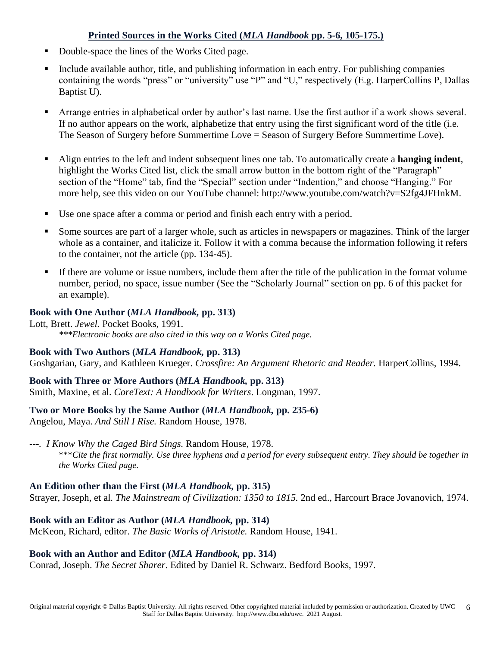# **Printed Sources in the Works Cited (***MLA Handbook* **pp. 5-6, 105-175.)**

- Double-space the lines of the Works Cited page.
- Include available author, title, and publishing information in each entry. For publishing companies containing the words "press" or "university" use "P" and "U," respectively (E.g. HarperCollins P, Dallas Baptist U).
- Arrange entries in alphabetical order by author's last name. Use the first author if a work shows several. If no author appears on the work, alphabetize that entry using the first significant word of the title (i.e. The Season of Surgery before Summertime Love = Season of Surgery Before Summertime Love).
- Align entries to the left and indent subsequent lines one tab. To automatically create a **hanging indent**, highlight the Works Cited list, click the small arrow button in the bottom right of the "Paragraph" section of the "Home" tab, find the "Special" section under "Indention," and choose "Hanging." For more help, see this video on our YouTube channel: http://www.youtube.com/watch?v=S2fg4JFHnkM.
- Use one space after a comma or period and finish each entry with a period.
- Some sources are part of a larger whole, such as articles in newspapers or magazines. Think of the larger whole as a container, and italicize it. Follow it with a comma because the information following it refers to the container, not the article (pp. 134-45).
- If there are volume or issue numbers, include them after the title of the publication in the format volume number, period, no space, issue number (See the "Scholarly Journal" section on pp. 6 of this packet for an example).

# **Book with One Author (***MLA Handbook,* **pp. 313)**

Lott, Brett. *Jewel.* Pocket Books, 1991. *\*\*\*Electronic books are also cited in this way on a Works Cited page.* 

# **Book with Two Authors (***MLA Handbook,* **pp. 313)**

Goshgarian, Gary, and Kathleen Krueger. *Crossfire: An Argument Rhetoric and Reader.* HarperCollins, 1994.

# **Book with Three or More Authors (***MLA Handbook,* **pp. 313)**

Smith, Maxine, et al. *CoreText: A Handbook for Writers*. Longman, 1997.

# **Two or More Books by the Same Author (***MLA Handbook,* **pp. 235-6)**

Angelou, Maya. *And Still I Rise.* Random House, 1978.

# *---. I Know Why the Caged Bird Sings.* Random House, 1978.

\*\*\**Cite the first normally. Use three hyphens and a period for every subsequent entry. They should be together in the Works Cited page.*

# **An Edition other than the First (***MLA Handbook,* **pp. 315)**

Strayer, Joseph, et al*. The Mainstream of Civilization: 1350 to 1815.* 2nd ed., Harcourt Brace Jovanovich, 1974.

# **Book with an Editor as Author (***MLA Handbook,* **pp. 314)**

McKeon, Richard, editor. *The Basic Works of Aristotle.* Random House, 1941.

# **Book with an Author and Editor (***MLA Handbook,* **pp. 314)**

Conrad, Joseph. *The Secret Sharer*. Edited by Daniel R. Schwarz. Bedford Books, 1997.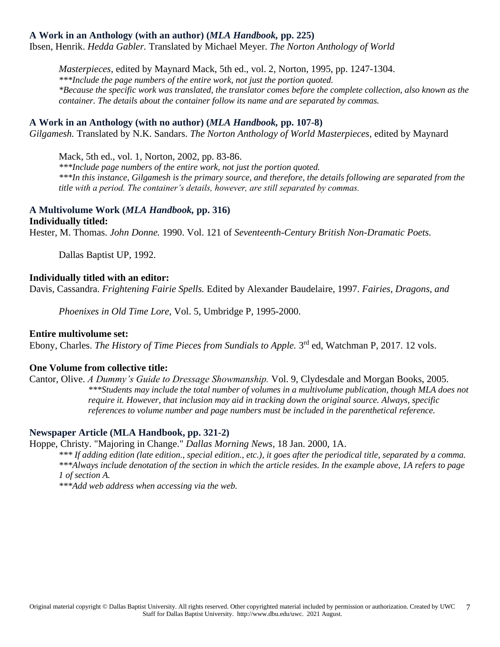#### **A Work in an Anthology (with an author) (***MLA Handbook,* **pp. 225)**

Ibsen, Henrik. *Hedda Gabler.* Translated by Michael Meyer. *The Norton Anthology of World*

*Masterpieces,* edited by Maynard Mack, 5th ed., vol. 2, Norton, 1995, pp. 1247-1304. *\*\*\*Include the page numbers of the entire work, not just the portion quoted. \*Because the specific work was translated, the translator comes before the complete collection, also known as the container. The details about the container follow its name and are separated by commas.*

#### **A Work in an Anthology (with no author) (***MLA Handbook,* **pp. 107-8)**

*Gilgamesh.* Translated by N.K. Sandars. *The Norton Anthology of World Masterpieces,* edited by Maynard

Mack, 5th ed., vol. 1, Norton, 2002, pp. 83-86.

*\*\*\*Include page numbers of the entire work, not just the portion quoted. \*\*\*In this instance, Gilgamesh is the primary source, and therefore, the details following are separated from the title with a period. The container's details, however, are still separated by commas.*

#### **A Multivolume Work (***MLA Handbook,* **pp. 316) Individually titled:**

Hester, M. Thomas. *John Donne.* 1990. Vol. 121 of *Seventeenth-Century British Non-Dramatic Poets.*

Dallas Baptist UP, 1992.

#### **Individually titled with an editor:**

Davis, Cassandra. *Frightening Fairie Spells.* Edited by Alexander Baudelaire, 1997. *Fairies, Dragons, and* 

*Phoenixes in Old Time Lore,* Vol. 5, Umbridge P, 1995-2000.

#### **Entire multivolume set:**

Ebony, Charles. *The History of Time Pieces from Sundials to Apple*. 3<sup>rd</sup> ed, Watchman P, 2017. 12 vols.

#### **One Volume from collective title:**

Cantor, Olive. *A Dummy's Guide to Dressage Showmanship.* Vol. 9, Clydesdale and Morgan Books, 2005. *\*\*\*Students may include the total number of volumes in a multivolume publication, though MLA does not require it. However, that inclusion may aid in tracking down the original source. Always, specific references to volume number and page numbers must be included in the parenthetical reference.*

#### **Newspaper Article (MLA Handbook, pp. 321-2)**

Hoppe, Christy. "Majoring in Change." *Dallas Morning News,* 18 Jan. 2000, 1A.

*\*\*\* If adding edition (late edition., special edition., etc.), it goes after the periodical title, separated by a comma. \*\*\*Always include denotation of the section in which the article resides. In the example above, 1A refers to page 1 of section A.*

*\*\*\*Add web address when accessing via the web.*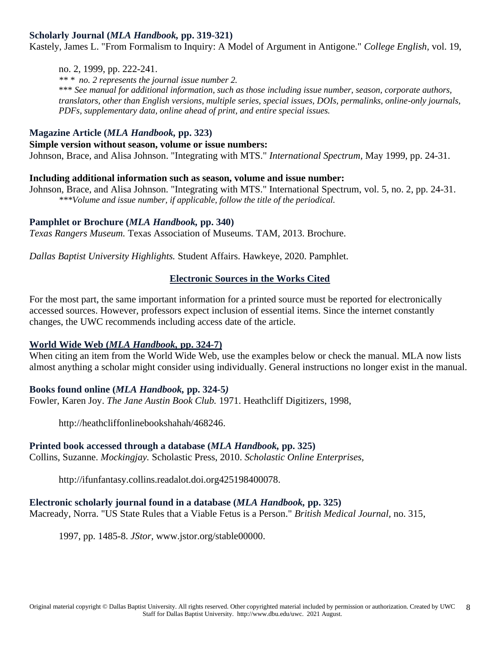#### **Scholarly Journal (***MLA Handbook,* **pp. 319-321)**

Kastely, James L. "From Formalism to Inquiry: A Model of Argument in Antigone." *College English,* vol. 19,

#### no. 2, 1999, pp. 222-241.

*\*\* \* no. 2 represents the journal issue number 2.* \*\*\* *See manual for additional information, such as those including issue number, season, corporate authors, translators, other than English versions, multiple series, special issues, DOIs, permalinks, online-only journals, PDFs, supplementary data, online ahead of print, and entire special issues.*

# **Magazine Article (***MLA Handbook,* **pp. 323)**

#### **Simple version without season, volume or issue numbers:**

Johnson, Brace, and Alisa Johnson. "Integrating with MTS." *International Spectrum,* May 1999, pp. 24-31.

#### **Including additional information such as season, volume and issue number:**

Johnson, Brace, and Alisa Johnson. "Integrating with MTS." International Spectrum, vol. 5, no. 2, pp. 24-31. *\*\*\*Volume and issue number, if applicable, follow the title of the periodical.*

#### **Pamphlet or Brochure (***MLA Handbook,* **pp. 340)**

*Texas Rangers Museum.* Texas Association of Museums. TAM, 2013. Brochure.

*Dallas Baptist University Highlights.* Student Affairs. Hawkeye, 2020. Pamphlet.

#### **Electronic Sources in the Works Cited**

For the most part, the same important information for a printed source must be reported for electronically accessed sources. However, professors expect inclusion of essential items. Since the internet constantly changes, the UWC recommends including access date of the article.

#### **World Wide Web (***MLA Handbook,* **pp. 324-7)**

When citing an item from the World Wide Web, use the examples below or check the manual. MLA now lists almost anything a scholar might consider using individually. General instructions no longer exist in the manual.

#### **Books found online (***MLA Handbook,* **pp. 324-5***)*

Fowler, Karen Joy. *The Jane Austin Book Club.* 1971. Heathcliff Digitizers, 1998,

http://heathcliffonlinebookshahah/468246.

#### **Printed book accessed through a database (***MLA Handbook,* **pp. 325)**

Collins, Suzanne. *Mockingjay.* Scholastic Press, 2010. *Scholastic Online Enterprises,* 

http://ifunfantasy.collins.readalot.doi.org425198400078.

#### **Electronic scholarly journal found in a database (***MLA Handbook,* **pp. 325)**

Macready, Norra. "US State Rules that a Viable Fetus is a Person." *British Medical Journal,* no. 315,

1997, pp. 1485-8. *JStor,* www.jstor.org/stable00000.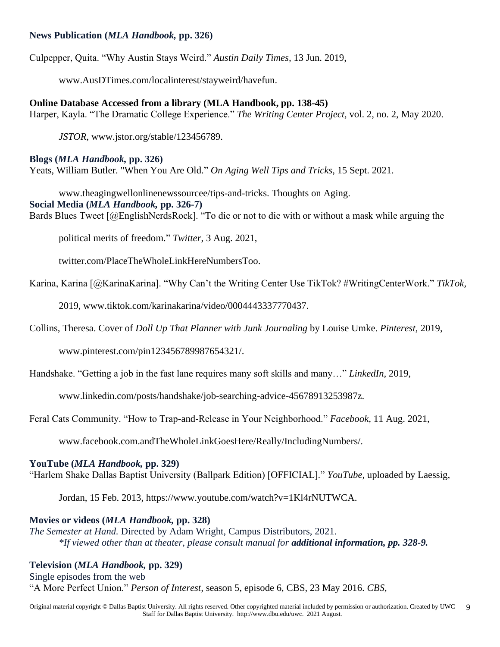#### **News Publication (***MLA Handbook,* **pp. 326)**

Culpepper, Quita. "Why Austin Stays Weird." *Austin Daily Times,* 13 Jun. 2019,

www.AusDTimes.com/localinterest/stayweird/havefun.

**Online Database Accessed from a library (MLA Handbook, pp. 138-45)** Harper, Kayla. "The Dramatic College Experience." *The Writing Center Project,* vol. 2, no. 2, May 2020.

*JSTOR*, www.jstor.org/stable/123456789.

#### **Blogs (***MLA Handbook,* **pp. 326)**

Yeats, William Butler. "When You Are Old." *On Aging Well Tips and Tricks,* 15 Sept. 2021.

www.theagingwellonlinenewssourcee/tips-and-tricks. Thoughts on Aging. **Social Media (***MLA Handbook,* **pp. 326-7)** Bards Blues Tweet [@EnglishNerdsRock]. "To die or not to die with or without a mask while arguing the

political merits of freedom." *Twitter*, 3 Aug. 2021,

twitter.com/PlaceTheWholeLinkHereNumbersToo.

Karina, Karina [@KarinaKarina]. "Why Can't the Writing Center Use TikTok? #WritingCenterWork." *TikTok,* 

2019, www.tiktok.com/karinakarina/video/0004443337770437.

Collins, Theresa. Cover of *Doll Up That Planner with Junk Journaling* by Louise Umke. *Pinterest,* 2019,

www.pinterest.com/pin123456789987654321/.

Handshake. "Getting a job in the fast lane requires many soft skills and many…" *LinkedIn,* 2019,

www.linkedin.com/posts/handshake/job-searching-advice-45678913253987z.

Feral Cats Community. "How to Trap-and-Release in Your Neighborhood." *Facebook,* 11 Aug. 2021,

www.facebook.com.andTheWholeLinkGoesHere/Really/IncludingNumbers/.

#### **YouTube (***MLA Handbook,* **pp. 329)**

"Harlem Shake Dallas Baptist University (Ballpark Edition) [OFFICIAL]." *YouTube,* uploaded by Laessig,

Jordan, 15 Feb. 2013, https://www.youtube.com/watch?v=1Kl4rNUTWCA.

#### **Movies or videos (***MLA Handbook,* **pp. 328)**

*The Semester at Hand.* Directed by Adam Wright, Campus Distributors, 2021. *\*If viewed other than at theater, please consult manual for additional information, pp. 328-9.*

#### **Television (***MLA Handbook,* **pp. 329)**

Single episodes from the web "A More Perfect Union." *Person of Interest,* season 5, episode 6, CBS, 23 May 2016. *CBS,*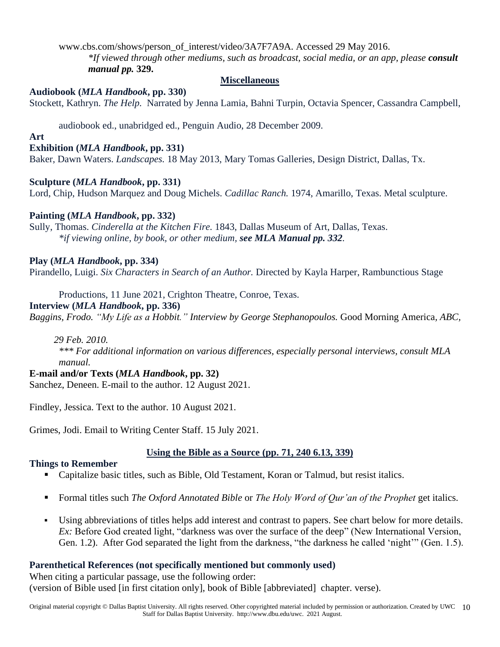#### www.cbs.com/shows/person\_of\_interest/video/3A7F7A9A. Accessed 29 May 2016.

*\*If viewed through other mediums, such as broadcast, social media, or an app, please consult manual pp.* **329.**

#### **Miscellaneous**

#### **Audiobook (***MLA Handbook***, pp. 330)**

Stockett, Kathryn. *The Help.* Narrated by Jenna Lamia, Bahni Turpin, Octavia Spencer, Cassandra Campbell,

audiobook ed., unabridged ed., Penguin Audio, 28 December 2009.

#### **Art**

#### **Exhibition (***MLA Handbook***, pp. 331)**

Baker, Dawn Waters. *Landscapes.* 18 May 2013, Mary Tomas Galleries, Design District, Dallas, Tx.

#### **Sculpture (***MLA Handbook***, pp. 331)**

Lord, Chip, Hudson Marquez and Doug Michels. *Cadillac Ranch.* 1974, Amarillo, Texas. Metal sculpture.

#### **Painting (***MLA Handbook***, pp. 332)**

Sully, Thomas. *Cinderella at the Kitchen Fire.* 1843, Dallas Museum of Art, Dallas, Texas. *\*if viewing online, by book, or other medium, see MLA Manual pp. 332.*

#### **Play (***MLA Handbook***, pp. 334)**

Pirandello, Luigi. *Six Characters in Search of an Author.* Directed by Kayla Harper, Rambunctious Stage

Productions, 11 June 2021, Crighton Theatre, Conroe, Texas.

#### **Interview (***MLA Handbook***, pp. 336)**

*Baggins, Frodo. "My Life as a Hobbit." Interview by George Stephanopoulos.* Good Morning America*, ABC,*

 *29 Feb. 2010.*

*\*\*\* For additional information on various differences, especially personal interviews, consult MLA manual.* 

# **E-mail and/or Texts (***MLA Handbook***, pp. 32)**

Sanchez, Deneen. E-mail to the author. 12 August 2021.

Findley, Jessica. Text to the author. 10 August 2021.

Grimes, Jodi. Email to Writing Center Staff. 15 July 2021.

# **Using the Bible as a Source (pp. 71, 240 6.13, 339)**

#### **Things to Remember**

- Capitalize basic titles, such as Bible, Old Testament, Koran or Talmud, but resist italics.
- Formal titles such *The Oxford Annotated Bible* or *The Holy Word of Qur'an of the Prophet* get italics.
- Using abbreviations of titles helps add interest and contrast to papers. See chart below for more details. *Ex*: Before God created light, "darkness was over the surface of the deep" (New International Version, Gen. 1.2). After God separated the light from the darkness, "the darkness he called 'night'" (Gen. 1.5).

# **Parenthetical References (not specifically mentioned but commonly used)**

When citing a particular passage, use the following order: (version of Bible used [in first citation only], book of Bible [abbreviated] chapter. verse).